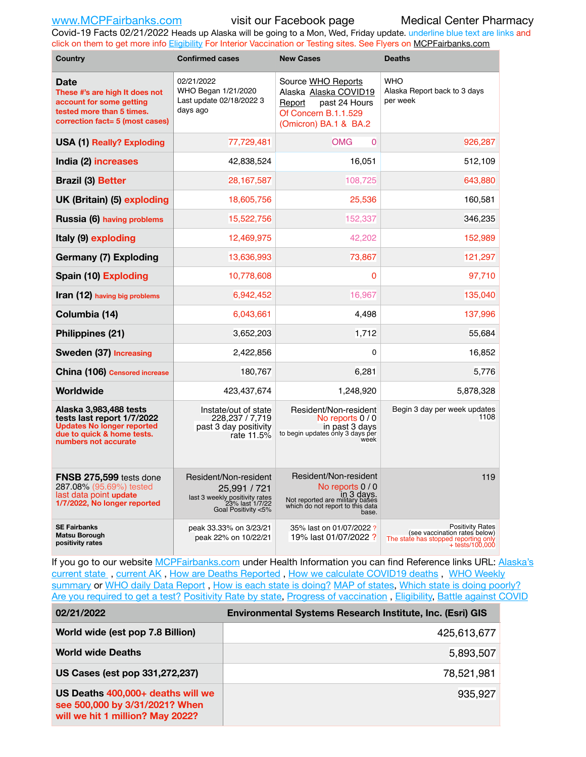Covid-19 Facts 02/21/2022 Heads up Alaska will be going to a Mon, Wed, Friday update. underline blue text are links and click on them to get more info [Eligibility](http://dhss.alaska.gov/dph/Epi/id/Pages/COVID-19/VaccineAvailability.aspx) For Interior Vaccination or Testing sites. See Flyers on [MCPFairbanks.com](http://www.MCPFairbanks.com)

| Country                                                                                                                                         | <b>Confirmed cases</b>                                                                                            | <b>New Cases</b>                                                                                                                        | <b>Deaths</b>                                                                                                         |  |  |  |
|-------------------------------------------------------------------------------------------------------------------------------------------------|-------------------------------------------------------------------------------------------------------------------|-----------------------------------------------------------------------------------------------------------------------------------------|-----------------------------------------------------------------------------------------------------------------------|--|--|--|
| Date<br>These #'s are high It does not<br>account for some getting<br>tested more than 5 times.<br>correction fact= 5 (most cases)              | 02/21/2022<br>WHO Began 1/21/2020<br>Last update 02/18/2022 3<br>days ago                                         | Source WHO Reports<br>Alaska Alaska COVID19<br>Report<br>past 24 Hours<br>Of Concern B.1.1.529<br>(Omicron) BA.1 & BA.2                 | <b>WHO</b><br>Alaska Report back to 3 days<br>per week                                                                |  |  |  |
| USA (1) Really? Exploding                                                                                                                       | 77,729,481                                                                                                        | <b>OMG</b><br>$\Omega$                                                                                                                  | 926,287                                                                                                               |  |  |  |
| India (2) increases                                                                                                                             | 42,838,524                                                                                                        | 16,051                                                                                                                                  | 512,109                                                                                                               |  |  |  |
| <b>Brazil (3) Better</b>                                                                                                                        | 28,167,587                                                                                                        | 108,725                                                                                                                                 | 643,880                                                                                                               |  |  |  |
| UK (Britain) (5) exploding                                                                                                                      | 18,605,756                                                                                                        | 25,536                                                                                                                                  | 160,581                                                                                                               |  |  |  |
| Russia (6) having problems                                                                                                                      | 15,522,756                                                                                                        | 152,337                                                                                                                                 | 346,235                                                                                                               |  |  |  |
| Italy (9) exploding                                                                                                                             | 12,469,975                                                                                                        | 42,202                                                                                                                                  | 152,989                                                                                                               |  |  |  |
| <b>Germany (7) Exploding</b>                                                                                                                    | 13,636,993                                                                                                        | 73,867                                                                                                                                  | 121,297                                                                                                               |  |  |  |
| Spain (10) Exploding                                                                                                                            | 10,778,608                                                                                                        | 0                                                                                                                                       | 97,710                                                                                                                |  |  |  |
| <b>Iran (12)</b> having big problems                                                                                                            | 6,942,452                                                                                                         | 16.967                                                                                                                                  | 135,040                                                                                                               |  |  |  |
| Columbia (14)                                                                                                                                   | 6,043,661                                                                                                         | 4,498                                                                                                                                   | 137,996                                                                                                               |  |  |  |
| Philippines (21)                                                                                                                                | 3,652,203                                                                                                         | 1,712                                                                                                                                   | 55,684                                                                                                                |  |  |  |
| Sweden (37) Increasing                                                                                                                          | 2,422,856                                                                                                         | 0                                                                                                                                       | 16,852                                                                                                                |  |  |  |
| China (106) Censored increase                                                                                                                   | 180,767                                                                                                           | 6,281                                                                                                                                   | 5,776                                                                                                                 |  |  |  |
| Worldwide                                                                                                                                       | 423.437.674                                                                                                       | 1.248.920                                                                                                                               | 5,878,328                                                                                                             |  |  |  |
| Alaska 3,983,488 tests<br>tests last report 1/7/2022<br><b>Updates No longer reported</b><br>due to quick & home tests.<br>numbers not accurate | Instate/out of state<br>228,237 / 7,719<br>past 3 day positivity<br>rate 11.5%                                    | Resident/Non-resident<br>No reports 0 / 0<br>in past 3 days<br>to begin updates only 3 days per<br>week                                 | Begin 3 day per week updates<br>1108                                                                                  |  |  |  |
| <b>FNSB 275,599</b> tests done<br>287.08% (95.69%) tested<br>last data point update<br>1/7/2022, No longer reported                             | Resident/Non-resident<br>25,991 / 721<br>last 3 weekly positivity rates<br>23% last 1/7/22<br>Goal Positivity <5% | Resident/Non-resident<br>No reports 0 / 0<br>in 3 days.<br>Not reported are military bases<br>which do not report to this data<br>base. | 119                                                                                                                   |  |  |  |
| <b>SE Fairbanks</b><br><b>Matsu Borough</b><br>positivity rates                                                                                 | peak 33.33% on 3/23/21<br>peak 22% on 10/22/21                                                                    | 35% last on 01/07/2022?<br>19% last 01/07/2022 ?                                                                                        | <b>Positivity Rates</b><br>(see vaccination rates below)<br>The state has stopped reporting only<br>$+$ tests/100,000 |  |  |  |

If you go to our website [MCPFairbanks.com](http://www.MCPFairbanks.com) under Health Information you can find Reference links URL: Alaska's [current state](https://coronavirus-response-alaska-dhss.hub.arcgis.com) , [current AK](http://dhss.alaska.gov/dph/Epi/id/Pages/COVID-19/communications.aspx#cases) , [How are Deaths Reported](http://dhss.alaska.gov/dph/Epi/id/Pages/COVID-19/deathcounts.aspx) , [How we calculate COVID19 deaths](https://coronavirus-response-alaska-dhss.hub.arcgis.com/search?collection=Document&groupIds=41ccb3344ebc4bd682c74073eba21f42) , [WHO Weekly](http://www.who.int)  [summary](http://www.who.int) or [WHO daily Data Report](https://covid19.who.int/table), [How is each state is doing?](https://www.msn.com/en-us/news/us/state-by-state-coronavirus-news/ar-BB13E1PX?fbclid=IwAR0_OBJH7lSyTN3ug_MsOeFnNgB1orTa9OBgilKJ7dhnwlVvHEsptuKkj1c) [MAP of states,](https://www.nationalgeographic.com/science/graphics/graphic-tracking-coronavirus-infections-us?cmpid=org=ngp::mc=crm-email::src=ngp::cmp=editorial::add=SpecialEdition_20210305&rid=B9A6DF5992658E8E35CE023113CFEA4C) [Which state is doing poorly?](https://bestlifeonline.com/covid-outbreak-your-state/?utm_source=nsltr&utm_medium=email&utm_content=covid-outbreak-your-state&utm_campaign=launch) [Are you required to get a test?](http://dhss.alaska.gov/dph/Epi/id/SiteAssets/Pages/HumanCoV/Whattodoafteryourtest.pdf) [Positivity Rate by state](https://coronavirus.jhu.edu/testing/individual-states/alaska), Progress of vaccination, [Eligibility,](http://dhss.alaska.gov/dph/Epi/id/Pages/COVID-19/VaccineAvailability.aspx) [Battle against COVID](https://www.nationalgeographic.com/science/graphics/graphic-tracking-coronavirus-infections-us?cmpid=org=ngp::mc=crm-email::src=ngp::cmp=editorial::add=SpecialEdition_20210219&rid=B9A6DF5992658E8E35CE023113CFEA4C)

| 02/21/2022                                                                                              | Environmental Systems Research Institute, Inc. (Esri) GIS |
|---------------------------------------------------------------------------------------------------------|-----------------------------------------------------------|
| World wide (est pop 7.8 Billion)                                                                        | 425,613,677                                               |
| <b>World wide Deaths</b>                                                                                | 5,893,507                                                 |
| US Cases (est pop 331,272,237)                                                                          | 78,521,981                                                |
| US Deaths 400,000+ deaths will we<br>see 500,000 by 3/31/2021? When<br>will we hit 1 million? May 2022? | 935,927                                                   |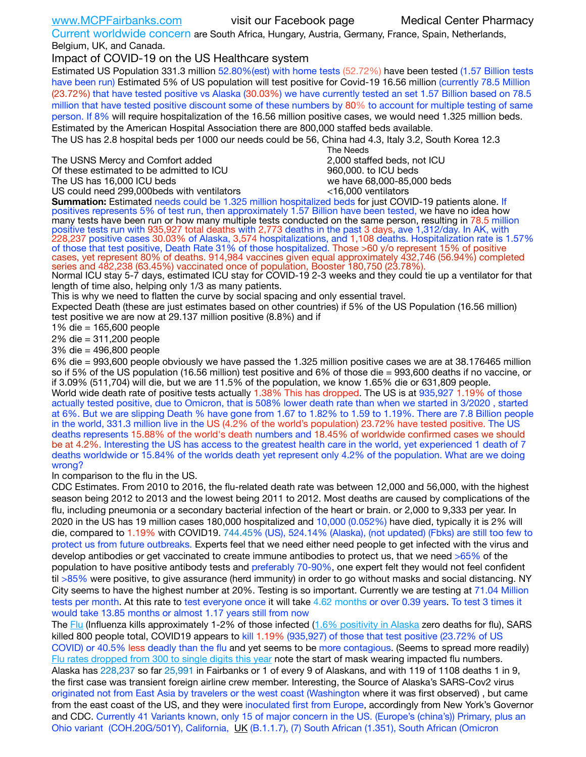Current worldwide concern are South Africa, Hungary, Austria, Germany, France, Spain, Netherlands, Belgium, UK, and Canada.

Impact of COVID-19 on the US Healthcare system

Estimated US Population 331.3 million 52.80%(est) with home tests (52.72%) have been tested (1.57 Billion tests have been run) Estimated 5% of US population will test positive for Covid-19 16.56 million (currently 78.5 Million (23.72%) that have tested positive vs Alaska (30.03%) we have currently tested an set 1.57 Billion based on 78.5 million that have tested positive discount some of these numbers by 80% to account for multiple testing of same person. If 8% will require hospitalization of the 16.56 million positive cases, we would need 1.325 million beds. Estimated by the American Hospital Association there are 800,000 staffed beds available.

The US has 2.8 hospital beds per 1000 our needs could be 56, China had 4.3, Italy 3.2, South Korea 12.3

The USNS Mercy and Comfort added 2,000 staffed beds, not ICU Of these estimated to be admitted to ICU 860,000. to ICU beds

 The Needs The US has 16,000 ICU beds we have 68,000-85,000 beds US could need 299,000beds with ventilators  $\leq 16,000$  ventilators

**Summation:** Estimated needs could be 1.325 million hospitalized beds for just COVID-19 patients alone. If positives represents 5% of test run, then approximately 1.57 Billion have been tested, we have no idea how many tests have been run or how many multiple tests conducted on the same person, resulting in 78.5 million positive tests run with 935,927 total deaths with 2,773 deaths in the past 3 days, ave 1,312/day. In AK, with 228,237 positive cases 30.03% of Alaska, 3,574 hospitalizations, and 1,108 deaths. Hospitalization rate is 1.57% of those that test positive, Death Rate 31% of those hospitalized. Those >60 y/o represent 15% of positive cases, yet represent 80% of deaths. 914,984 vaccines given equal approximately 432,746 (56.94%) completed series and 482,238 (63.45%) vaccinated once of population, Booster 180,750 (23.78%).

Normal ICU stay 5-7 days, estimated ICU stay for COVID-19 2-3 weeks and they could tie up a ventilator for that length of time also, helping only 1/3 as many patients.

This is why we need to flatten the curve by social spacing and only essential travel.

Expected Death (these are just estimates based on other countries) if 5% of the US Population (16.56 million) test positive we are now at 29.137 million positive (8.8%) and if

1% die = 165,600 people

2% die = 311,200 people

3% die = 496,800 people

6% die = 993,600 people obviously we have passed the 1.325 million positive cases we are at 38.176465 million so if 5% of the US population (16.56 million) test positive and 6% of those die = 993,600 deaths if no vaccine, or if 3.09% (511,704) will die, but we are 11.5% of the population, we know 1.65% die or 631,809 people. World wide death rate of positive tests actually 1.38% This has dropped. The US is at 935,927 1.19% of those actually tested positive, due to Omicron, that is 508% lower death rate than when we started in 3/2020 , started at 6%. But we are slipping Death % have gone from 1.67 to 1.82% to 1.59 to 1.19%. There are 7.8 Billion people in the world, 331.3 million live in the US (4.2% of the world's population) 23.72% have tested positive. The US deaths represents 15.88% of the world's death numbers and 18.45% of worldwide confirmed cases we should be at 4.2%. Interesting the US has access to the greatest health care in the world, yet experienced 1 death of 7 deaths worldwide or 15.84% of the worlds death yet represent only 4.2% of the population. What are we doing wrong?

In comparison to the flu in the US.

CDC Estimates. From 2010 to 2016, the flu-related death rate was between 12,000 and 56,000, with the highest season being 2012 to 2013 and the lowest being 2011 to 2012. Most deaths are caused by complications of the flu, including pneumonia or a secondary bacterial infection of the heart or brain. or 2,000 to 9,333 per year. In 2020 in the US has 19 million cases 180,000 hospitalized and 10,000 (0.052%) have died, typically it is 2% will die, compared to 1.19% with COVID19. 744.45% (US), 524.14% (Alaska), (not updated) (Fbks) are still too few to protect us from future outbreaks. Experts feel that we need either need people to get infected with the virus and develop antibodies or get vaccinated to create immune antibodies to protect us, that we need >65% of the population to have positive antibody tests and preferably 70-90%, one expert felt they would not feel confident til >85% were positive, to give assurance (herd immunity) in order to go without masks and social distancing. NY City seems to have the highest number at 20%. Testing is so important. Currently we are testing at 71.04 Million tests per month. At this rate to test everyone once it will take 4.62 months or over 0.39 years. To test 3 times it would take 13.85 months or almost 1.17 years still from now

The [Flu](https://lnks.gd/l/eyJhbGciOiJIUzI1NiJ9.eyJidWxsZXRpbl9saW5rX2lkIjoxMDMsInVyaSI6ImJwMjpjbGljayIsImJ1bGxldGluX2lkIjoiMjAyMTAyMjYuMzYwNDA3NTEiLCJ1cmwiOiJodHRwczovL3d3dy5jZGMuZ292L2ZsdS93ZWVrbHkvb3ZlcnZpZXcuaHRtIn0.ePMA_hsZ-pTnhWSyg1gHvHWYTu2XceVOt0JejxvP1WE/s/500544915/br/98428119752-l) (Influenza kills approximately 1-2% of those infected ([1.6% positivity in Alaska](http://dhss.alaska.gov/dph/Epi/id/SiteAssets/Pages/influenza/trends/Snapshot.pdf) zero deaths for flu), SARS killed 800 people total, COVID19 appears to kill 1.19% (935,927) of those that test positive (23.72% of US COVID) or 40.5% less deadly than the flu and yet seems to be more contagious. (Seems to spread more readily) [Flu rates dropped from 300 to single digits this year](https://lnks.gd/l/eyJhbGciOiJIUzI1NiJ9.eyJidWxsZXRpbl9saW5rX2lkIjoxMDEsInVyaSI6ImJwMjpjbGljayIsImJ1bGxldGluX2lkIjoiMjAyMTAyMjYuMzYwNDA3NTEiLCJ1cmwiOiJodHRwOi8vZGhzcy5hbGFza2EuZ292L2RwaC9FcGkvaWQvUGFnZXMvaW5mbHVlbnphL2ZsdWluZm8uYXNweCJ9.oOe3nt2fww6XpsNhb4FZfmtPfPa-irGaldpkURBJhSo/s/500544915/br/98428119752-l) note the start of mask wearing impacted flu numbers. Alaska has 228,237 so far 25,991 in Fairbanks or 1 of every 9 of Alaskans, and with 119 of 1108 deaths 1 in 9, the first case was transient foreign airline crew member. Interesting, the Source of Alaska's SARS-Cov2 virus originated not from East Asia by travelers or the west coast (Washington where it was first observed) , but came from the east coast of the US, and they were inoculated first from Europe, accordingly from New York's Governor and CDC. Currently 41 Variants known, only 15 of major concern in the US. (Europe's (china's)) Primary, plus an Ohio variant (COH.20G/501Y), California, [UK](https://www.cdc.gov/coronavirus/2019-ncov/transmission/variant-cases.html) (B.1.1.7), (7) South African (1.351), South African (Omicron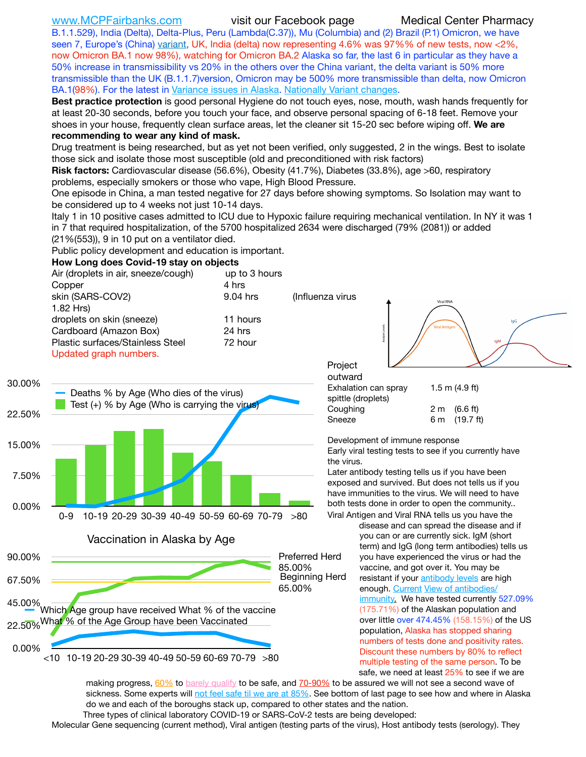B.1.1.529), India (Delta), Delta-Plus, Peru (Lambda(C.37)), Mu (Columbia) and (2) Brazil (P.1) Omicron, we have seen 7, Europe's (China) [variant,](https://www.webmd.com/lung/news/20210318/cdc-who-create-threat-levels-for-covid-variants?ecd=wnl_cvd_031921&ctr=wnl-cvd-031921&mb=kYbf7DsHb7YGjh/1RUkcAW0T6iorImAU1TDZh18RYs0=_Support_titleLink_2) UK, India (delta) now representing 4.6% was 97%% of new tests, now <2%, now Omicron BA.1 now 98%), watching for Omicron BA.2 Alaska so far, the last 6 in particular as they have a 50% increase in transmissibility vs 20% in the others over the China variant, the delta variant is 50% more transmissible than the UK (B.1.1.7)version, Omicron may be 500% more transmissible than delta, now Omicron BA.1(98%). For the latest in [Variance issues in Alaska.](https://experience.arcgis.com/experience/af2efc8bffbf4cdc83c2d1a134354074/) [Nationally Variant changes](https://covid.cdc.gov/covid-data-tracker/#variant-proportions).

**Best practice protection** is good personal Hygiene do not touch eyes, nose, mouth, wash hands frequently for at least 20-30 seconds, before you touch your face, and observe personal spacing of 6-18 feet. Remove your shoes in your house, frequently clean surface areas, let the cleaner sit 15-20 sec before wiping off. **We are recommending to wear any kind of mask.**

Drug treatment is being researched, but as yet not been verified, only suggested, 2 in the wings. Best to isolate those sick and isolate those most susceptible (old and preconditioned with risk factors)

**Risk factors:** Cardiovascular disease (56.6%), Obesity (41.7%), Diabetes (33.8%), age >60, respiratory problems, especially smokers or those who vape, High Blood Pressure.

One episode in China, a man tested negative for 27 days before showing symptoms. So Isolation may want to be considered up to 4 weeks not just 10-14 days.

Italy 1 in 10 positive cases admitted to ICU due to Hypoxic failure requiring mechanical ventilation. In NY it was 1 in 7 that required hospitalization, of the 5700 hospitalized 2634 were discharged (79% (2081)) or added (21%(553)), 9 in 10 put on a ventilator died.

Public policy development and education is important.

## **How Long does Covid-19 stay on objects**



making progress, [60%](https://www.jhsph.edu/covid-19/articles/achieving-herd-immunity-with-covid19.html) to [barely qualify](https://www.nature.com/articles/d41586-020-02948-4) to be safe, and [70-90%](https://www.mayoclinic.org/herd-immunity-and-coronavirus/art-20486808) to be assured we will not see a second wave of sickness. Some experts will [not feel safe til we are at 85%](https://www.bannerhealth.com/healthcareblog/teach-me/what-is-herd-immunity). See bottom of last page to see how and where in Alaska do we and each of the boroughs stack up, compared to other states and the nation. Three types of clinical laboratory COVID-19 or SARS-CoV-2 tests are being developed:

safe, we need at least 25% to see if we are

Molecular Gene sequencing (current method), Viral antigen (testing parts of the virus), Host antibody tests (serology). They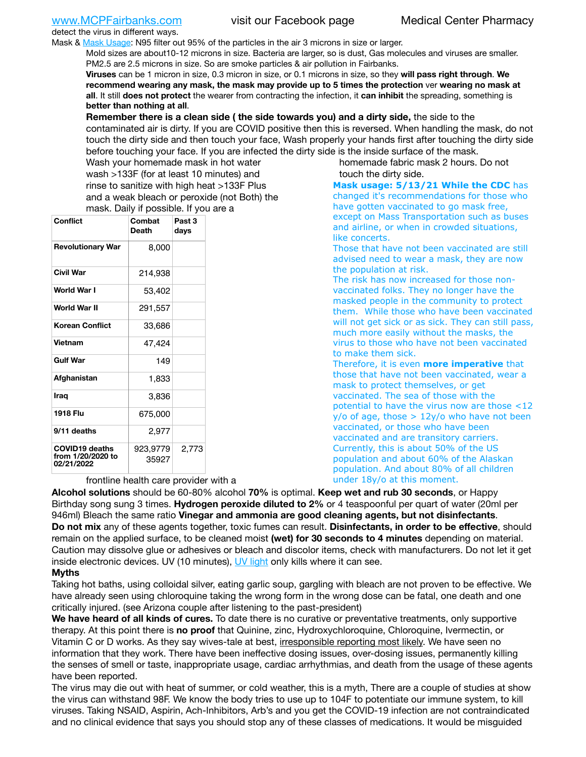detect the virus in different ways.

Mask & [Mask Usage:](https://www.nationalgeographic.com/history/2020/03/how-cities-flattened-curve-1918-spanish-flu-pandemic-coronavirus/) N95 filter out 95% of the particles in the air 3 microns in size or larger.

Mold sizes are about10-12 microns in size. Bacteria are larger, so is dust, Gas molecules and viruses are smaller. PM2.5 are 2.5 microns in size. So are smoke particles & air pollution in Fairbanks.

**Viruses** can be 1 micron in size, 0.3 micron in size, or 0.1 microns in size, so they **will pass right through**. **We recommend wearing any mask, the mask may provide up to 5 times the protection** ver **wearing no mask at all**. It still **does not protect** the wearer from contracting the infection, it **can inhibit** the spreading, something is **better than nothing at all**.

**Remember there is a clean side ( the side towards you) and a dirty side,** the side to the contaminated air is dirty. If you are COVID positive then this is reversed. When handling the mask, do not touch the dirty side and then touch your face, Wash properly your hands first after touching the dirty side before touching your face. If you are infected the dirty side is the inside surface of the mask.

Wash your homemade mask in hot water wash >133F (for at least 10 minutes) and rinse to sanitize with high heat >133F Plus and a weak bleach or peroxide (not Both) the mask. Daily if possible. If you are a

| <b>Conflict</b>                                          | Combat<br><b>Death</b> | Past <sub>3</sub><br>days |  |  |  |
|----------------------------------------------------------|------------------------|---------------------------|--|--|--|
| <b>Revolutionary War</b>                                 | 8,000                  |                           |  |  |  |
| Civil War                                                | 214,938                |                           |  |  |  |
| World War I                                              | 53,402                 |                           |  |  |  |
| World War II                                             | 291,557                |                           |  |  |  |
| <b>Korean Conflict</b>                                   | 33,686                 |                           |  |  |  |
| <b>Vietnam</b>                                           | 47,424                 |                           |  |  |  |
| <b>Gulf War</b>                                          | 149                    |                           |  |  |  |
| Afghanistan                                              | 1,833                  |                           |  |  |  |
| Iraq                                                     | 3,836                  |                           |  |  |  |
| 1918 Flu                                                 | 675,000                |                           |  |  |  |
| 9/11 deaths                                              | 2,977                  |                           |  |  |  |
| <b>COVID19 deaths</b><br>from 1/20/2020 to<br>02/21/2022 | 923,9779<br>35927      | 2,773                     |  |  |  |

frontline health care provider with a

homemade fabric mask 2 hours. Do not touch the dirty side.

**Mask usage: 5/13/21 While the CDC** has changed it's recommendations for those who have gotten vaccinated to go mask free, except on Mass Transportation such as buses and airline, or when in crowded situations, like concerts.

Those that have not been vaccinated are still advised need to wear a mask, they are now the population at risk.

The risk has now increased for those nonvaccinated folks. They no longer have the masked people in the community to protect them. While those who have been vaccinated will not get sick or as sick. They can still pass, much more easily without the masks, the virus to those who have not been vaccinated to make them sick.

Therefore, it is even **more imperative** that those that have not been vaccinated, wear a mask to protect themselves, or get vaccinated. The sea of those with the potential to have the virus now are those <12  $y$ /o of age, those  $> 12y$ /o who have not been vaccinated, or those who have been vaccinated and are transitory carriers. Currently, this is about 50% of the US population and about 60% of the Alaskan population. And about 80% of all children under 18y/o at this moment.

**Alcohol solutions** should be 60-80% alcohol **70%** is optimal. **Keep wet and rub 30 seconds**, or Happy Birthday song sung 3 times. **Hydrogen peroxide diluted to 2%** or 4 teaspoonful per quart of water (20ml per 946ml) Bleach the same ratio **Vinegar and ammonia are good cleaning agents, but not disinfectants**. **Do not mix** any of these agents together, toxic fumes can result. **Disinfectants, in order to be effective**, should remain on the applied surface, to be cleaned moist **(wet) for 30 seconds to 4 minutes** depending on material. Caution may dissolve glue or adhesives or bleach and discolor items, check with manufacturers. Do not let it get inside electronic devices. UV (10 minutes), [UV light](http://www.docreviews.me/best-uv-boxes-2020/?fbclid=IwAR3bvFtXB48OoBBSvYvTEnKuHNPbipxM6jUo82QUSw9wckxjC7wwRZWabGw) only kills where it can see.

# **Myths**

Taking hot baths, using colloidal silver, eating garlic soup, gargling with bleach are not proven to be effective. We have already seen using chloroquine taking the wrong form in the wrong dose can be fatal, one death and one critically injured. (see Arizona couple after listening to the past-president)

**We have heard of all kinds of cures.** To date there is no curative or preventative treatments, only supportive therapy. At this point there is **no proof** that Quinine, zinc, Hydroxychloroquine, Chloroquine, Ivermectin, or Vitamin C or D works. As they say wives-tale at best, irresponsible reporting most likely. We have seen no information that they work. There have been ineffective dosing issues, over-dosing issues, permanently killing the senses of smell or taste, inappropriate usage, cardiac arrhythmias, and death from the usage of these agents have been reported.

The virus may die out with heat of summer, or cold weather, this is a myth, There are a couple of studies at show the virus can withstand 98F. We know the body tries to use up to 104F to potentiate our immune system, to kill viruses. Taking NSAID, Aspirin, Ach-Inhibitors, Arb's and you get the COVID-19 infection are not contraindicated and no clinical evidence that says you should stop any of these classes of medications. It would be misguided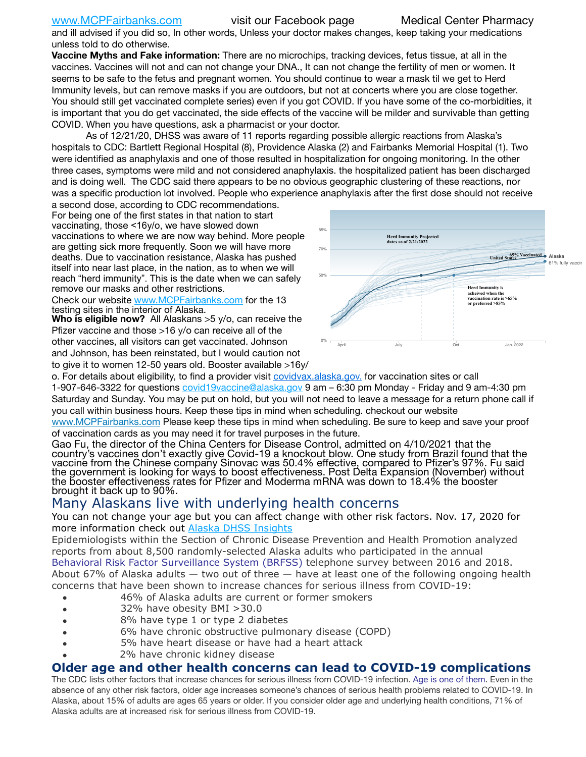and ill advised if you did so, In other words, Unless your doctor makes changes, keep taking your medications unless told to do otherwise.

**Vaccine Myths and Fake information:** There are no microchips, tracking devices, fetus tissue, at all in the vaccines. Vaccines will not and can not change your DNA., It can not change the fertility of men or women. It seems to be safe to the fetus and pregnant women. You should continue to wear a mask til we get to Herd Immunity levels, but can remove masks if you are outdoors, but not at concerts where you are close together. You should still get vaccinated complete series) even if you got COVID. If you have some of the co-morbidities, it is important that you do get vaccinated, the side effects of the vaccine will be milder and survivable than getting COVID. When you have questions, ask a pharmacist or your doctor.

As of 12/21/20, DHSS was aware of 11 reports regarding possible allergic reactions from Alaska's hospitals to CDC: Bartlett Regional Hospital (8), Providence Alaska (2) and Fairbanks Memorial Hospital (1). Two were identified as anaphylaxis and one of those resulted in hospitalization for ongoing monitoring. In the other three cases, symptoms were mild and not considered anaphylaxis. the hospitalized patient has been discharged and is doing well. The CDC said there appears to be no obvious geographic clustering of these reactions, nor was a specific production lot involved. People who experience anaphylaxis after the first dose should not receive

a second dose, according to CDC recommendations. For being one of the first states in that nation to start vaccinating, those <16y/o, we have slowed down vaccinations to where we are now way behind. More people are getting sick more frequently. Soon we will have more deaths. Due to vaccination resistance, Alaska has pushed itself into near last place, in the nation, as to when we will reach "herd immunity". This is the date when we can safely remove our masks and other restrictions.

Check our website [www.MCPFairbanks.com](http://www.MCPFairbanks.com) for the 13 testing sites in the interior of Alaska.

**Who is eligible now?** All Alaskans >5 y/o, can receive the Pfizer vaccine and those >16 y/o can receive all of the other vaccines, all visitors can get vaccinated. Johnson and Johnson, has been reinstated, but I would caution not to give it to women 12-50 years old. Booster available >16y/



o. For details about eligibility, to find a provider visit **[covidvax.alaska.gov.](https://lnks.gd/l/eyJhbGciOiJIUzI1NiJ9.eyJidWxsZXRpbl9saW5rX2lkIjoxMDYsInVyaSI6ImJwMjpjbGljayIsImJ1bGxldGluX2lkIjoiMjAyMTAxMjguMzQwODU3NjEiLCJ1cmwiOiJodHRwOi8vZGhzcy5hbGFza2EuZ292L2RwaC9FcGkvaWQvUGFnZXMvQ09WSUQtMTkvdmFjY2luZS5hc3B4In0.-Xwhl42jAWOMS7ewfS85uxwrwjohCso3Sb81DuDKtxU/s/500544915/br/93796640171-l)** for vaccination sites or call 1-907-646-3322 for questions [covid19vaccine@alaska.gov](mailto:covid19vaccine@alaska.gov?subject=COVID19%20Vaccine%20questions) 9 am – 6:30 pm Monday - Friday and 9 am-4:30 pm Saturday and Sunday. You may be put on hold, but you will not need to leave a message for a return phone call if you call within business hours. Keep these tips in mind when scheduling. checkout our website [www.MCPFairbanks.com](http://www.MCPFairbanks.com) Please keep these tips in mind when scheduling. Be sure to keep and save your proof of vaccination cards as you may need it for travel purposes in the future.

Gao Fu, the director of the China Centers for Disease Control, admitted on 4/10/2021 that the country's vaccines don't exactly give Covid-19 a knockout blow. One study from Brazil found that the vaccine from the Chinese company Sinovac was 50.4% effective, compared to Pfizer's 97%. Fu said the government is looking for ways to boost effectiveness. Post Delta Expansion (November) without<br>the booster effectiveness rates for Pfizer and Moderma mRNA was down to 18.4% the booster brought it back up to 90%.

# Many Alaskans live with underlying health concerns

You can not change your age but you can affect change with other risk factors. Nov. 17, 2020 for more information check out [Alaska DHSS Insights](http://dhss.alaska.gov/dph/Epi/id/Pages/COVID-19/blog/20201117.aspx)

Epidemiologists within the Section of Chronic Disease Prevention and Health Promotion analyzed reports from about 8,500 randomly-selected Alaska adults who participated in the annual [Behavioral Risk Factor Surveillance System \(BRFSS\)](http://dhss.alaska.gov/dph/Chronic/Pages/brfss/default.aspx) telephone survey between 2016 and 2018. About 67% of Alaska adults — two out of three — have at least one of the following ongoing health concerns that have been shown to increase chances for serious illness from COVID-19:

- 46% of Alaska adults are current or former smokers
- 32% have obesity BMI >30.0
- 8% have type 1 or type 2 diabetes
- 6% have chronic obstructive pulmonary disease (COPD)
- 5% have heart disease or have had a heart attack
- 2% have chronic kidney disease

# **Older age and other health concerns can lead to COVID-19 complications**

The CDC lists other factors that increase chances for serious illness from COVID-19 infection. [Age is one of them](https://www.cdc.gov/coronavirus/2019-ncov/need-extra-precautions/older-adults.html). Even in the absence of any other risk factors, older age increases someone's chances of serious health problems related to COVID-19. In Alaska, about 15% of adults are ages 65 years or older. If you consider older age and underlying health conditions, 71% of Alaska adults are at increased risk for serious illness from COVID-19.